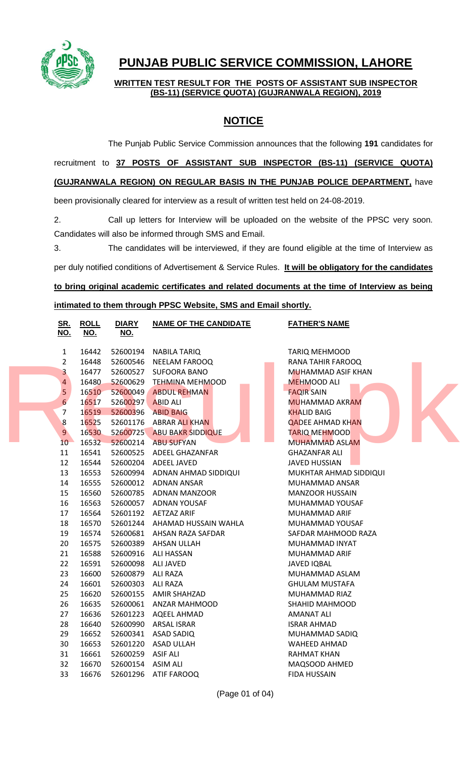

# **PUNJAB PUBLIC SERVICE COMMISSION, LAHORE**

**WRITTEN TEST RESULT FOR THE POSTS OF ASSISTANT SUB INSPECTOR (BS-11) (SERVICE QUOTA) (GUJRANWALA REGION), 2019**

## **NOTICE**

The Punjab Public Service Commission announces that the following **191** candidates for

### recruitment to **37 POSTS OF ASSISTANT SUB INSPECTOR (BS-11) (SERVICE QUOTA)**

#### **(GUJRANWALA REGION) ON REGULAR BASIS IN THE PUNJAB POLICE DEPARTMENT,** have

been provisionally cleared for interview as a result of written test held on 24-08-2019.

2. Call up letters for Interview will be uploaded on the website of the PPSC very soon. Candidates will also be informed through SMS and Email.

3. The candidates will be interviewed, if they are found eligible at the time of Interview as

per duly notified conditions of Advertisement & Service Rules. **It will be obligatory for the candidates** 

**to bring original academic certificates and related documents at the time of Interview as being** 

#### **intimated to them through PPSC Website, SMS and Email shortly.**

| <b>ROLL</b><br><u>SR.</u><br><u>NO.</u><br><u>NO.</u> | <b>DIARY</b><br><u>NO.</u> | <b>NAME OF THE CANDIDATE</b>  | <b>FATHER'S NAME</b>      |
|-------------------------------------------------------|----------------------------|-------------------------------|---------------------------|
| $\mathbf{1}$<br>16442                                 | 52600194                   | <b>NABILA TARIQ</b>           | <b>TARIQ MEHMOOD</b>      |
| $\overline{2}$<br>16448                               | 52600546                   | <b>NEELAM FAROOQ</b>          | RANA TAHIR FAROOQ         |
| $\overline{\mathbf{3}}$<br>16477                      | 52600527                   | <b>SUFOORA BANO</b>           | <b>MUHAMMAD ASIF KHAN</b> |
| $\overline{4}$<br>16480                               | 52600629                   | <b>TEHMINA MEHMOOD</b>        | <b>MEHMOOD ALI</b>        |
| 5/<br>16510                                           | 52600049                   | <b>ABDUL REHMAN</b>           | <b>FAQIR SAIN</b>         |
| $6\phantom{1}$<br>16517                               | 52600297                   | <b>ABID ALI</b>               | <b>MUHAMMAD AKRAM</b>     |
| 16519<br>7                                            | 52600396                   | <b>ABID BAIG</b>              | <b>KHALID BAIG</b>        |
| 8<br>16525                                            | 52601176                   | <b>ABRAR ALI KHAN</b>         | <b>QADEE AHMAD KHAN</b>   |
| 9 <sup>°</sup><br>16530                               | 52600725                   | <b>ABU BAKR SIDDIQUE</b>      | <b>TARIQ MEHMOOD</b>      |
| 16532<br>10 <sup>°</sup>                              | 52600214                   | <b>ABU SUFYAN</b>             | <b>MUHAMMAD ASLAM</b>     |
| 16541<br>11                                           | 52600525                   | ADEEL GHAZANFAR               | <b>GHAZANFAR ALI</b>      |
| 16544<br>12                                           | 52600204                   | ADEEL JAVED                   | <b>JAVED HUSSIAN</b>      |
| 13<br>16553                                           |                            | 52600994 ADNAN AHMAD SIDDIQUI | MUKHTAR AHMAD SIDDIQUI    |
| 16555<br>14                                           |                            | 52600012 ADNAN ANSAR          | MUHAMMAD ANSAR            |
| 16560<br>15                                           |                            | 52600785 ADNAN MANZOOR        | <b>MANZOOR HUSSAIN</b>    |
| 16<br>16563                                           |                            | 52600057 ADNAN YOUSAF         | MUHAMMAD YOUSAF           |
| 16564<br>17                                           |                            | 52601192 AETZAZ ARIF          | MUHAMMAD ARIF             |
| 16570<br>18                                           | 52601244                   | AHAMAD HUSSAIN WAHLA          | MUHAMMAD YOUSAF           |
| 19<br>16574                                           | 52600681                   | AHSAN RAZA SAFDAR             | SAFDAR MAHMOOD RAZA       |
| 20<br>16575                                           | 52600389                   | AHSAN ULLAH                   | MUHAMMAD INYAT            |
| 16588<br>21                                           | 52600916                   | <b>ALI HASSAN</b>             | MUHAMMAD ARIF             |
| 22<br>16591                                           | 52600098                   | <b>ALI JAVED</b>              | <b>JAVED IQBAL</b>        |
| 16600<br>23                                           | 52600879                   | ALI RAZA                      | MUHAMMAD ASLAM            |
| 16601<br>24                                           | 52600303                   | <b>ALI RAZA</b>               | <b>GHULAM MUSTAFA</b>     |
| 25<br>16620                                           |                            | 52600155 AMIR SHAHZAD         | MUHAMMAD RIAZ             |
| 16635<br>26                                           |                            | 52600061 ANZAR MAHMOOD        | SHAHID MAHMOOD            |
| 27<br>16636                                           | 52601223                   | <b>AQEEL AHMAD</b>            | <b>AMANAT ALI</b>         |
| 28<br>16640                                           | 52600990                   | <b>ARSAL ISRAR</b>            | <b>ISRAR AHMAD</b>        |
| 16652<br>29                                           | 52600341                   | ASAD SADIQ                    | MUHAMMAD SADIQ            |
| 16653<br>30                                           | 52601220                   | <b>ASAD ULLAH</b>             | <b>WAHEED AHMAD</b>       |
| 31<br>16661                                           | 52600259                   | <b>ASIF ALI</b>               | <b>RAHMAT KHAN</b>        |
| 16670<br>32                                           | 52600154                   | <b>ASIM ALI</b>               | MAQSOOD AHMED             |
| 33<br>16676                                           | 52601296                   | ATIF FAROOQ                   | <b>FIDA HUSSAIN</b>       |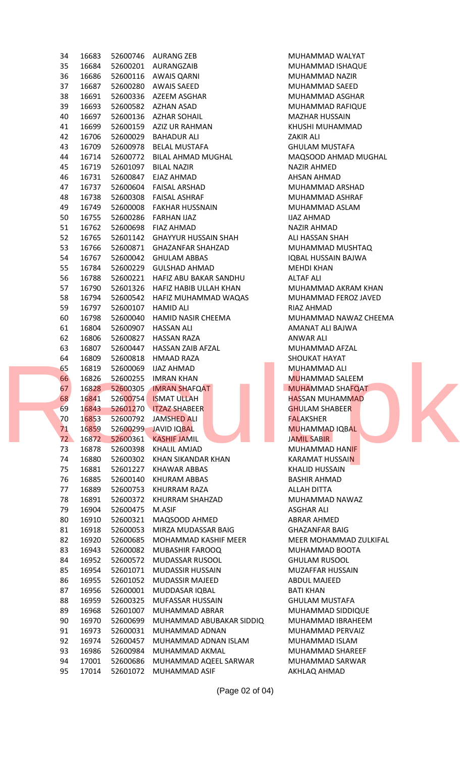| 34 | 16683 |          | 52600746 AURANG ZEB           | MUHAMMAD WALYAT        |
|----|-------|----------|-------------------------------|------------------------|
| 35 | 16684 |          | 52600201 AURANGZAIB           | MUHAMMAD ISHAQUE       |
| 36 | 16686 |          | 52600116 AWAIS QARNI          | MUHAMMAD NAZIR         |
| 37 | 16687 |          | 52600280 AWAIS SAEED          | MUHAMMAD SAEED         |
| 38 | 16691 |          | 52600336 AZEEM ASGHAR         | MUHAMMAD ASGHAR        |
| 39 | 16693 | 52600582 | AZHAN ASAD                    | MUHAMMAD RAFIQUE       |
| 40 | 16697 |          | 52600136 AZHAR SOHAIL         |                        |
|    |       |          |                               | <b>MAZHAR HUSSAIN</b>  |
| 41 | 16699 |          | 52600159 AZIZ UR RAHMAN       | KHUSHI MUHAMMAD        |
| 42 | 16706 | 52600029 | <b>BAHADUR ALI</b>            | ZAKIR ALI              |
| 43 | 16709 | 52600978 | BELAL MUSTAFA                 | <b>GHULAM MUSTAFA</b>  |
| 44 | 16714 | 52600772 | BILAL AHMAD MUGHAL            | MAQSOOD AHMAD MUGHAL   |
| 45 | 16719 | 52601097 | <b>BILAL NAZIR</b>            | NAZIR AHMED            |
| 46 | 16731 | 52600847 | EJAZ AHMAD                    | AHSAN AHMAD            |
| 47 | 16737 | 52600604 | FAISAL ARSHAD                 | MUHAMMAD ARSHAD        |
| 48 | 16738 | 52600308 | FAISAL ASHRAF                 | MUHAMMAD ASHRAF        |
| 49 | 16749 |          | 52600008 FAKHAR HUSSNAIN      | MUHAMMAD ASLAM         |
| 50 | 16755 |          | 52600286 FARHAN IJAZ          | <b>IJAZ AHMAD</b>      |
| 51 | 16762 |          | 52600698 FIAZ AHMAD           | NAZIR AHMAD            |
| 52 | 16765 |          | 52601142 GHAYYUR HUSSAIN SHAH | ALI HASSAN SHAH        |
| 53 | 16766 |          | 52600871 GHAZANFAR SHAHZAD    | MUHAMMAD MUSHTAQ       |
| 54 | 16767 |          | 52600042 GHULAM ABBAS         | IQBAL HUSSAIN BAJWA    |
| 55 | 16784 | 52600229 | GULSHAD AHMAD                 | <b>MEHDI KHAN</b>      |
| 56 | 16788 | 52600221 | HAFIZ ABU BAKAR SANDHU        | ALTAF ALI              |
| 57 | 16790 | 52601326 | HAFIZ HABIB ULLAH KHAN        | MUHAMMAD AKRAM KHAN    |
| 58 | 16794 |          | 52600542 HAFIZ MUHAMMAD WAQAS | MUHAMMAD FEROZ JAVED   |
| 59 | 16797 | 52600107 | HAMID ALI                     | RIAZ AHMAD             |
|    |       |          |                               |                        |
| 60 | 16798 | 52600040 | HAMID NASIR CHEEMA            | MUHAMMAD NAWAZ CHEEMA  |
| 61 | 16804 | 52600907 | <b>HASSAN ALI</b>             | AMANAT ALI BAJWA       |
| 62 | 16806 | 52600827 | HASSAN RAZA                   | ANWAR ALI              |
| 63 | 16807 | 52600447 | HASSAN ZAIB AFZAL             | MUHAMMAD AFZAL         |
| 64 | 16809 | 52600818 | HMAAD RAZA                    | SHOUKAT HAYAT          |
| 65 | 16819 | 52600069 | IJAZ AHMAD                    | <b>MUHAMMAD ALI</b>    |
| 66 | 16826 |          | 52600255 IMRAN KHAN           | <b>MUHAMMAD SALEEM</b> |
| 67 |       |          | 16828 52600305 IMRAN SHAFQAT  | MUHAMMAD SHAFQAT       |
| 68 | 16841 | 52600754 | <b>ISMAT ULLAH</b>            | <b>HASSAN MUHAMMAD</b> |
| 69 | 16843 |          | 52601270 ITZAZ SHABEER        | <b>GHULAM SHABEER</b>  |
| 70 | 16853 | 52600792 | <b>JAMSHED ALI</b>            | <b>FALAKSHER</b>       |
| 71 | 16859 |          | 52600299 JAVID IQBAL          | <b>MUHAMMAD IQBAL</b>  |
| 72 | 16872 | 52600361 | <b>KASHIF JAMIL</b>           | JAMIL SABIR            |
| 73 | 16878 | 52600398 | KHALIL AMJAD                  | MUHAMMAD HANIF         |
| 74 | 16880 | 52600302 | KHAN SIKANDAR KHAN            | <b>KARAMAT HUSSAIN</b> |
| 75 | 16881 | 52601227 | <b>KHAWAR ABBAS</b>           | <b>KHALID HUSSAIN</b>  |
| 76 | 16885 | 52600140 | KHURAM ABBAS                  | <b>BASHIR AHMAD</b>    |
| 77 | 16889 | 52600753 | KHURRAM RAZA                  | ALLAH DITTA            |
| 78 | 16891 | 52600372 | KHURRAM SHAHZAD               | MUHAMMAD NAWAZ         |
| 79 | 16904 | 52600475 | M.ASIF                        | ASGHAR ALI             |
| 80 | 16910 | 52600321 | MAQSOOD AHMED                 | ABRAR AHMED            |
| 81 | 16918 | 52600053 | MIRZA MUDASSAR BAIG           | <b>GHAZANFAR BAIG</b>  |
| 82 | 16920 | 52600685 | MOHAMMAD KASHIF MEER          | MEER MOHAMMAD ZULKIFAL |
| 83 | 16943 | 52600082 | MUBASHIR FAROOQ               | MUHAMMAD BOOTA         |
| 84 | 16952 | 52600572 | MUDASSAR RUSOOL               | <b>GHULAM RUSOOL</b>   |
| 85 | 16954 | 52601071 | <b>MUDASSIR HUSSAIN</b>       | MUZAFFAR HUSSAIN       |
| 86 | 16955 | 52601052 | <b>MUDASSIR MAJEED</b>        | <b>ABDUL MAJEED</b>    |
| 87 | 16956 | 52600001 | MUDDASAR IQBAL                |                        |
|    |       |          |                               | <b>BATI KHAN</b>       |
| 88 | 16959 | 52600325 | MUFASSAR HUSSAIN              | <b>GHULAM MUSTAFA</b>  |
| 89 | 16968 | 52601007 | MUHAMMAD ABRAR                | MUHAMMAD SIDDIQUE      |
| 90 | 16970 | 52600699 | MUHAMMAD ABUBAKAR SIDDIQ      | MUHAMMAD IBRAHEEM      |
| 91 | 16973 | 52600031 | MUHAMMAD ADNAN                | MUHAMMAD PERVAIZ       |
| 92 | 16974 | 52600457 | MUHAMMAD ADNAN ISLAM          | MUHAMMAD ISLAM         |
| 93 | 16986 | 52600984 | MUHAMMAD AKMAL                | MUHAMMAD SHAREEF       |
| 94 | 17001 | 52600686 | MUHAMMAD AQEEL SARWAR         | MUHAMMAD SARWAR        |
| 95 | 17014 | 52601072 | MUHAMMAD ASIF                 | AKHLAQ AHMAD           |

(Page 02 of 04)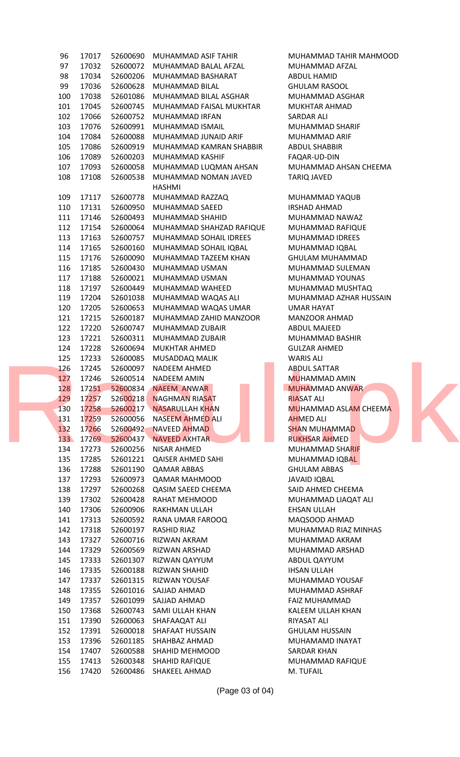| 96  | 17017 | 52600690 | MUHAMMAD ASIF TAHIR            | MUHAMMAD TAHIR MAHMOOD       |
|-----|-------|----------|--------------------------------|------------------------------|
| 97  | 17032 | 52600072 | MUHAMMAD BALAL AFZAL           | MUHAMMAD AFZAL               |
| 98  | 17034 | 52600206 | MUHAMMAD BASHARAT              | <b>ABDUL HAMID</b>           |
| 99  | 17036 | 52600628 | MUHAMMAD BILAL                 | <b>GHULAM RASOOL</b>         |
| 100 | 17038 | 52601086 | MUHAMMAD BILAL ASGHAR          | MUHAMMAD ASGHAR              |
| 101 | 17045 | 52600745 | MUHAMMAD FAISAL MUKHTAR        | <b>MUKHTAR AHMAD</b>         |
| 102 | 17066 | 52600752 | MUHAMMAD IRFAN                 | SARDAR ALI                   |
| 103 | 17076 | 52600991 | MUHAMMAD ISMAIL                | MUHAMMAD SHARIF              |
| 104 | 17084 | 52600088 | MUHAMMAD JUNAID ARIF           | MUHAMMAD ARIF                |
| 105 | 17086 | 52600919 | MUHAMMAD KAMRAN SHABBIR        | <b>ABDUL SHABBIR</b>         |
| 106 | 17089 | 52600203 | MUHAMMAD KASHIF                | FAQAR-UD-DIN                 |
| 107 | 17093 | 52600058 | MUHAMMAD LUQMAN AHSAN          | MUHAMMAD AHSAN CHEEMA        |
| 108 | 17108 | 52600538 | MUHAMMAD NOMAN JAVED           | <b>TARIQ JAVED</b>           |
|     |       |          | HASHMI                         |                              |
| 109 | 17117 | 52600778 | MUHAMMAD RAZZAQ                | MUHAMMAD YAQUB               |
| 110 | 17131 | 52600950 | MUHAMMAD SAEED                 | IRSHAD AHMAD                 |
| 111 | 17146 | 52600493 | MUHAMMAD SHAHID                | MUHAMMAD NAWAZ               |
| 112 | 17154 | 52600064 | MUHAMMAD SHAHZAD RAFIQUE       | MUHAMMAD RAFIQUE             |
| 113 | 17163 | 52600757 | MUHAMMAD SOHAIL IDREES         | MUHAMMAD IDREES              |
|     | 17165 |          |                                |                              |
| 114 |       | 52600160 | MUHAMMAD SOHAIL IQBAL          | MUHAMMAD IQBAL               |
| 115 | 17176 | 52600090 | MUHAMMAD TAZEEM KHAN           | <b>GHULAM MUHAMMAD</b>       |
| 116 | 17185 | 52600430 | MUHAMMAD USMAN                 | MUHAMMAD SULEMAN             |
| 117 | 17188 | 52600021 | MUHAMMAD USMAN                 | MUHAMMAD YOUNAS              |
| 118 | 17197 | 52600449 | MUHAMMAD WAHEED                | MUHAMMAD MUSHTAQ             |
| 119 | 17204 | 52601038 | MUHAMMAD WAQAS ALI             | MUHAMMAD AZHAR HUSSAIN       |
| 120 | 17205 | 52600653 | MUHAMMAD WAQAS UMAR            | UMAR HAYAT                   |
| 121 | 17215 | 52600187 | MUHAMMAD ZAHID MANZOOR         | <b>MANZOOR AHMAD</b>         |
| 122 | 17220 | 52600747 | MUHAMMAD ZUBAIR                | <b>ABDUL MAJEED</b>          |
| 123 | 17221 | 52600311 | MUHAMMAD ZUBAIR                | MUHAMMAD BASHIR              |
| 124 | 17228 | 52600694 | <b>MUKHTAR AHMED</b>           | <b>GULZAR AHMED</b>          |
| 125 | 17233 | 52600085 | MUSADDAQ MALIK                 | <b>WARIS ALI</b>             |
| 126 | 17245 | 52600097 | NADEEM AHMED                   | <b>ABDUL SATTAR</b>          |
| 127 | 17246 | 52600514 | NADEEM AMIN                    | <b>MUHAMMAD AMIN</b>         |
|     |       |          | 128 17251 52600834 NAEEM ANWAR | MUHAMMAD ANWAR               |
| 129 | 17257 | 52600218 | <b>NAGHMAN RIASAT</b>          | <b>RIASAT ALI</b>            |
| 130 | 17258 | 52600217 | <b>NASARULLAH KHAN</b>         | <b>MUHAMMAD ASLAM CHEEMA</b> |
| 131 | 17259 | 52600056 | NASEEM AHMED ALI               | <b>AHMED ALI</b>             |
| 132 | 17266 | 52600492 | NAVEED AHMAD                   | <b>SHAN MUHAMMAD</b>         |
| 133 | 17269 | 52600437 | <b>NAVEED AKHTAR</b>           | <b>RUKHSAR AHMED</b>         |
| 134 | 17273 | 52600256 | NISAR AHMED                    | MUHAMMAD SHARIF              |
| 135 | 17285 | 52601221 | <b>QAISER AHMED SAHI</b>       | MUHAMMAD IQBAL               |
| 136 | 17288 | 52601190 | <b>QAMAR ABBAS</b>             | <b>GHULAM ABBAS</b>          |
| 137 | 17293 | 52600973 | <b>QAMAR MAHMOOD</b>           | <b>JAVAID IQBAL</b>          |
| 138 | 17297 | 52600268 | <b>QASIM SAEED CHEEMA</b>      | SAID AHMED CHEEMA            |
| 139 | 17302 | 52600428 | RAHAT MEHMOOD                  | MUHAMMAD LIAQAT ALI          |
| 140 | 17306 | 52600906 | RAKHMAN ULLAH                  | <b>EHSAN ULLAH</b>           |
| 141 | 17313 | 52600592 | RANA UMAR FAROOQ               | MAQSOOD AHMAD                |
| 142 | 17318 | 52600197 | RASHID RIAZ                    | MUHAMMAD RIAZ MINHAS         |
| 143 | 17327 | 52600716 | RIZWAN AKRAM                   | MUHAMMAD AKRAM               |
| 144 | 17329 | 52600569 | RIZWAN ARSHAD                  | MUHAMMAD ARSHAD              |
| 145 | 17333 | 52601307 | RIZWAN QAYYUM                  | ABDUL QAYYUM                 |
| 146 | 17335 | 52600188 | RIZWAN SHAHID                  | <b>IHSAN ULLAH</b>           |
| 147 | 17337 | 52601315 | RIZWAN YOUSAF                  | MUHAMMAD YOUSAF              |
| 148 | 17355 | 52601016 | SAJJAD AHMAD                   | MUHAMMAD ASHRAF              |
| 149 | 17357 | 52601099 | SAJJAD AHMAD                   | <b>FAIZ MUHAMMAD</b>         |
| 150 | 17368 | 52600743 | SAMI ULLAH KHAN                | KALEEM ULLAH KHAN            |
| 151 | 17390 | 52600063 | SHAFAAQAT ALI                  | RIYASAT ALI                  |
| 152 | 17391 | 52600018 | SHAFAAT HUSSAIN                | <b>GHULAM HUSSAIN</b>        |
| 153 | 17396 | 52601185 | SHAHBAZ AHMAD                  | MUHAMAMD INAYAT              |
| 154 | 17407 | 52600588 | SHAHID MEHMOOD                 | SARDAR KHAN                  |
| 155 | 17413 | 52600348 | <b>SHAHID RAFIQUE</b>          | MUHAMMAD RAFIQUE             |
| 156 | 17420 | 52600486 | SHAKEEL AHMAD                  | M. TUFAIL                    |
|     |       |          |                                |                              |

(Page 03 of 04)